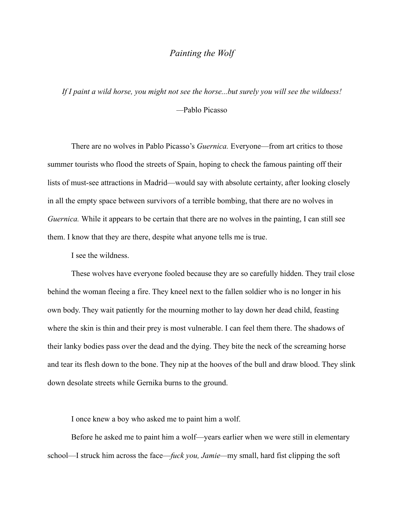## *Painting the Wolf*

*If I paint a wild horse, you might not see the horse...but surely you will see the wildness! —*Pablo Picasso

There are no wolves in Pablo Picasso's *Guernica.* Everyone—from art critics to those summer tourists who flood the streets of Spain, hoping to check the famous painting off their lists of must-see attractions in Madrid—would say with absolute certainty, after looking closely in all the empty space between survivors of a terrible bombing, that there are no wolves in *Guernica*. While it appears to be certain that there are no wolves in the painting, I can still see them. I know that they are there, despite what anyone tells me is true.

I see the wildness.

These wolves have everyone fooled because they are so carefully hidden. They trail close behind the woman fleeing a fire. They kneel next to the fallen soldier who is no longer in his own body. They wait patiently for the mourning mother to lay down her dead child, feasting where the skin is thin and their prey is most vulnerable. I can feel them there. The shadows of their lanky bodies pass over the dead and the dying. They bite the neck of the screaming horse and tear its flesh down to the bone. They nip at the hooves of the bull and draw blood. They slink down desolate streets while Gernika burns to the ground.

I once knew a boy who asked me to paint him a wolf.

Before he asked me to paint him a wolf—years earlier when we were still in elementary school—I struck him across the face—*fuck you, Jamie—*my small, hard fist clipping the soft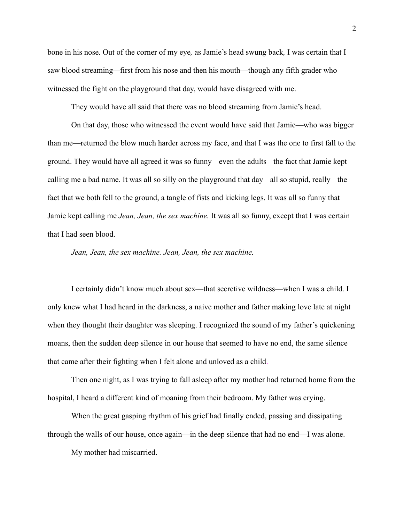bone in his nose. Out of the corner of my eye*,* as Jamie's head swung back*,* I was certain that I saw blood streaming*—*first from his nose and then his mouth—though any fifth grader who witnessed the fight on the playground that day, would have disagreed with me.

They would have all said that there was no blood streaming from Jamie's head.

On that day, those who witnessed the event would have said that Jamie—who was bigger than me—returned the blow much harder across my face, and that I was the one to first fall to the ground. They would have all agreed it was so funny*—*even the adults*—*the fact that Jamie kept calling me a bad name. It was all so silly on the playground that day*—*all so stupid, really*—*the fact that we both fell to the ground, a tangle of fists and kicking legs. It was all so funny that Jamie kept calling me *Jean, Jean, the sex machine.* It was all so funny, except that I was certain that I had seen blood.

*Jean, Jean, the sex machine. Jean, Jean, the sex machine.*

I certainly didn't know much about sex—that secretive wildness—when I was a child. I only knew what I had heard in the darkness, a naive mother and father making love late at night when they thought their daughter was sleeping. I recognized the sound of my father's quickening moans, then the sudden deep silence in our house that seemed to have no end, the same silence that came after their fighting when I felt alone and unloved as a child.

Then one night, as I was trying to fall asleep after my mother had returned home from the hospital, I heard a different kind of moaning from their bedroom. My father was crying.

When the great gasping rhythm of his grief had finally ended, passing and dissipating through the walls of our house, once again—in the deep silence that had no end—I was alone.

My mother had miscarried.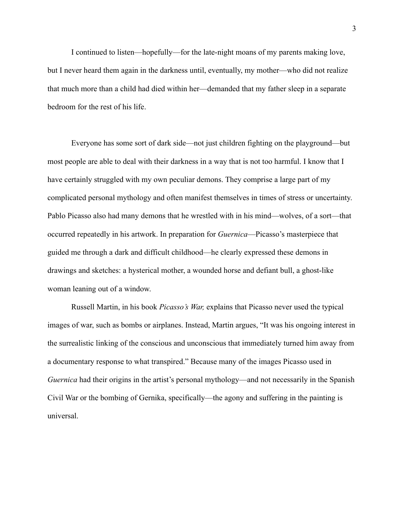I continued to listen—hopefully—for the late-night moans of my parents making love, but I never heard them again in the darkness until, eventually, my mother—who did not realize that much more than a child had died within her—demanded that my father sleep in a separate bedroom for the rest of his life.

Everyone has some sort of dark side—not just children fighting on the playground—but most people are able to deal with their darkness in a way that is not too harmful. I know that I have certainly struggled with my own peculiar demons. They comprise a large part of my complicated personal mythology and often manifest themselves in times of stress or uncertainty. Pablo Picasso also had many demons that he wrestled with in his mind—wolves, of a sort—that occurred repeatedly in his artwork. In preparation for *Guernica*—Picasso's masterpiece that guided me through a dark and difficult childhood—he clearly expressed these demons in drawings and sketches: a hysterical mother, a wounded horse and defiant bull, a ghost-like woman leaning out of a window.

Russell Martin, in his book *Picasso's War,* explains that Picasso never used the typical images of war, such as bombs or airplanes. Instead, Martin argues, "It was his ongoing interest in the surrealistic linking of the conscious and unconscious that immediately turned him away from a documentary response to what transpired." Because many of the images Picasso used in *Guernica* had their origins in the artist's personal mythology—and not necessarily in the Spanish Civil War or the bombing of Gernika, specifically—the agony and suffering in the painting is universal.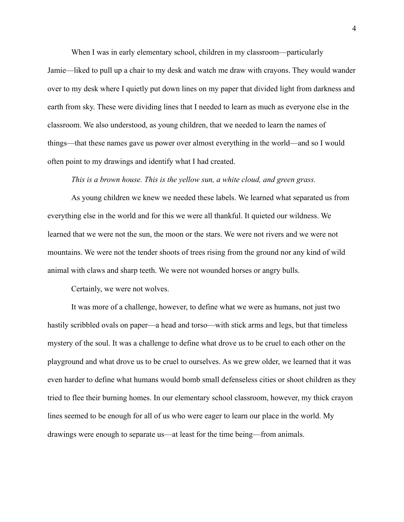When I was in early elementary school, children in my classroom—particularly

Jamie—liked to pull up a chair to my desk and watch me draw with crayons. They would wander over to my desk where I quietly put down lines on my paper that divided light from darkness and earth from sky. These were dividing lines that I needed to learn as much as everyone else in the classroom. We also understood, as young children, that we needed to learn the names of things—that these names gave us power over almost everything in the world—and so I would often point to my drawings and identify what I had created.

## *This is a brown house. This is the yellow sun, a white cloud, and green grass.*

As young children we knew we needed these labels. We learned what separated us from everything else in the world and for this we were all thankful. It quieted our wildness. We learned that we were not the sun, the moon or the stars. We were not rivers and we were not mountains. We were not the tender shoots of trees rising from the ground nor any kind of wild animal with claws and sharp teeth. We were not wounded horses or angry bulls.

Certainly, we were not wolves.

It was more of a challenge, however, to define what we were as humans, not just two hastily scribbled ovals on paper—a head and torso—with stick arms and legs, but that timeless mystery of the soul. It was a challenge to define what drove us to be cruel to each other on the playground and what drove us to be cruel to ourselves. As we grew older, we learned that it was even harder to define what humans would bomb small defenseless cities or shoot children as they tried to flee their burning homes. In our elementary school classroom, however, my thick crayon lines seemed to be enough for all of us who were eager to learn our place in the world. My drawings were enough to separate us—at least for the time being—from animals.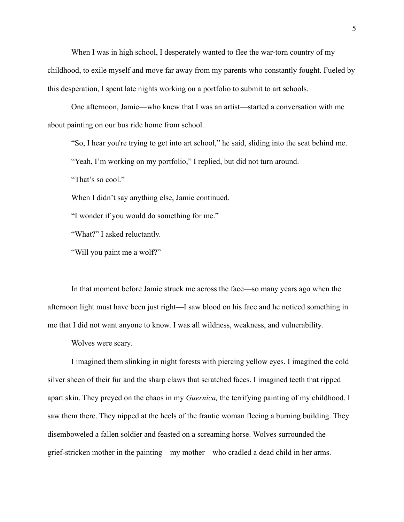When I was in high school, I desperately wanted to flee the war-torn country of my childhood, to exile myself and move far away from my parents who constantly fought. Fueled by this desperation, I spent late nights working on a portfolio to submit to art schools.

One afternoon, Jamie—who knew that I was an artist—started a conversation with me about painting on our bus ride home from school.

"So, I hear you're trying to get into art school," he said, sliding into the seat behind me.

"Yeah, I'm working on my portfolio," I replied, but did not turn around.

"That's so cool."

When I didn't say anything else, Jamie continued.

"I wonder if you would do something for me."

"What?" I asked reluctantly.

"Will you paint me a wolf?"

In that moment before Jamie struck me across the face—so many years ago when the afternoon light must have been just right—I saw blood on his face and he noticed something in me that I did not want anyone to know. I was all wildness, weakness, and vulnerability.

Wolves were scary.

I imagined them slinking in night forests with piercing yellow eyes. I imagined the cold silver sheen of their fur and the sharp claws that scratched faces. I imagined teeth that ripped apart skin. They preyed on the chaos in my *Guernica,* the terrifying painting of my childhood. I saw them there. They nipped at the heels of the frantic woman fleeing a burning building. They disemboweled a fallen soldier and feasted on a screaming horse. Wolves surrounded the grief-stricken mother in the painting—my mother—who cradled a dead child in her arms.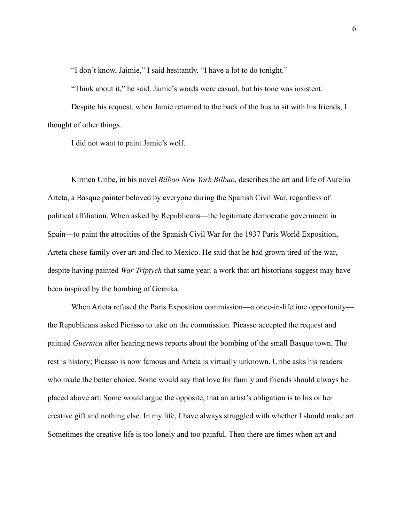"I don't know, Jaimie," I said hesitantly. "I have a lot to do tonight."

"Think about it," he said. Jamie's words were casual, but his tone was insistent.

Despite his request, when Jamie returned to the back of the bus to sit with his friends, I thought of other things.

I did not want to paint Jamie's wolf.

Kirmen Uribe, in his novel *Bilbao New York Bilbao,* describes the art and life of Aurelio Arteta, a Basque painter beloved by everyone during the Spanish Civil War, regardless of political affiliation. When asked by Republicans—the legitimate democratic government in Spain—to paint the atrocities of the Spanish Civil War for the 1937 Paris World Exposition, Arteta chose family over art and fled to Mexico. He said that he had grown tired of the war, despite having painted *War Triptych* that same year*,* a work that art historians suggest may have been inspired by the bombing of Gernika.

When Arteta refused the Paris Exposition commission—a once-in-lifetime opportunity the Republicans asked Picasso to take on the commission. Picasso accepted the request and painted *Guernica* after hearing news reports about the bombing of the small Basque town*.* The rest is history; Picasso is now famous and Arteta is virtually unknown. Uribe asks his readers who made the better choice. Some would say that love for family and friends should always be placed above art. Some would argue the opposite, that an artist's obligation is to his or her creative gift and nothing else. In my life, I have always struggled with whether I should make art. Sometimes the creative life is too lonely and too painful. Then there are times when art and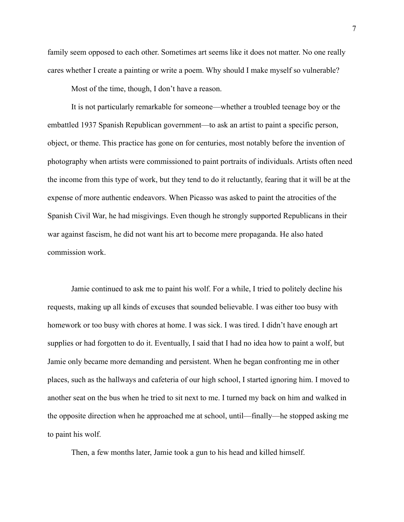family seem opposed to each other. Sometimes art seems like it does not matter. No one really cares whether I create a painting or write a poem. Why should I make myself so vulnerable?

Most of the time, though, I don't have a reason.

It is not particularly remarkable for someone—whether a troubled teenage boy or the embattled 1937 Spanish Republican government—to ask an artist to paint a specific person, object, or theme. This practice has gone on for centuries, most notably before the invention of photography when artists were commissioned to paint portraits of individuals. Artists often need the income from this type of work, but they tend to do it reluctantly, fearing that it will be at the expense of more authentic endeavors. When Picasso was asked to paint the atrocities of the Spanish Civil War, he had misgivings. Even though he strongly supported Republicans in their war against fascism, he did not want his art to become mere propaganda. He also hated commission work.

Jamie continued to ask me to paint his wolf. For a while, I tried to politely decline his requests, making up all kinds of excuses that sounded believable. I was either too busy with homework or too busy with chores at home. I was sick. I was tired. I didn't have enough art supplies or had forgotten to do it. Eventually, I said that I had no idea how to paint a wolf, but Jamie only became more demanding and persistent. When he began confronting me in other places, such as the hallways and cafeteria of our high school, I started ignoring him. I moved to another seat on the bus when he tried to sit next to me. I turned my back on him and walked in the opposite direction when he approached me at school, until—finally—he stopped asking me to paint his wolf.

Then, a few months later, Jamie took a gun to his head and killed himself.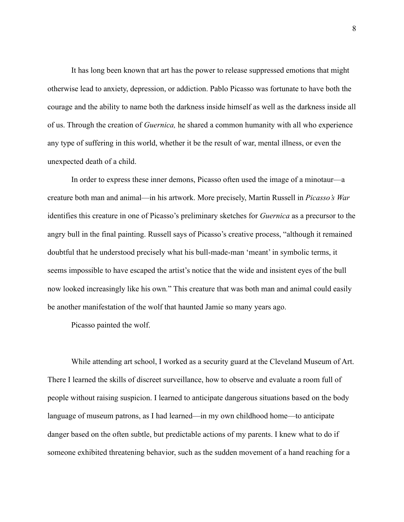It has long been known that art has the power to release suppressed emotions that might otherwise lead to anxiety, depression, or addiction. Pablo Picasso was fortunate to have both the courage and the ability to name both the darkness inside himself as well as the darkness inside all of us. Through the creation of *Guernica,* he shared a common humanity with all who experience any type of suffering in this world, whether it be the result of war, mental illness, or even the unexpected death of a child.

In order to express these inner demons, Picasso often used the image of a minotaur—a creature both man and animal—in his artwork. More precisely, Martin Russell in *Picasso's War* identifies this creature in one of Picasso's preliminary sketches for *Guernica* as a precursor to the angry bull in the final painting. Russell says of Picasso's creative process, "although it remained doubtful that he understood precisely what his bull-made-man 'meant' in symbolic terms, it seems impossible to have escaped the artist's notice that the wide and insistent eyes of the bull now looked increasingly like his own*.*" This creature that was both man and animal could easily be another manifestation of the wolf that haunted Jamie so many years ago.

Picasso painted the wolf.

While attending art school, I worked as a security guard at the Cleveland Museum of Art. There I learned the skills of discreet surveillance, how to observe and evaluate a room full of people without raising suspicion. I learned to anticipate dangerous situations based on the body language of museum patrons, as I had learned—in my own childhood home—to anticipate danger based on the often subtle, but predictable actions of my parents. I knew what to do if someone exhibited threatening behavior, such as the sudden movement of a hand reaching for a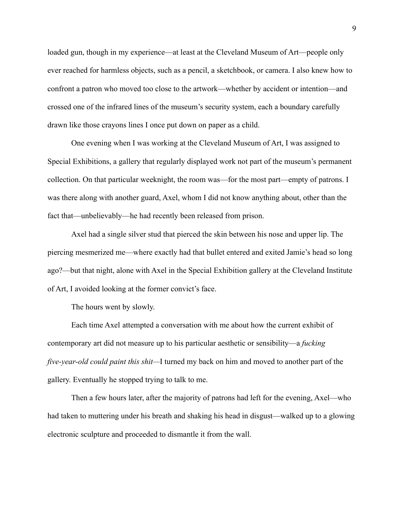loaded gun, though in my experience—at least at the Cleveland Museum of Art—people only ever reached for harmless objects, such as a pencil, a sketchbook, or camera. I also knew how to confront a patron who moved too close to the artwork—whether by accident or intention—and crossed one of the infrared lines of the museum's security system, each a boundary carefully drawn like those crayons lines I once put down on paper as a child.

One evening when I was working at the Cleveland Museum of Art, I was assigned to Special Exhibitions, a gallery that regularly displayed work not part of the museum's permanent collection. On that particular weeknight, the room was—for the most part—empty of patrons. I was there along with another guard, Axel, whom I did not know anything about, other than the fact that—unbelievably—he had recently been released from prison.

Axel had a single silver stud that pierced the skin between his nose and upper lip. The piercing mesmerized me—where exactly had that bullet entered and exited Jamie's head so long ago?—but that night, alone with Axel in the Special Exhibition gallery at the Cleveland Institute of Art, I avoided looking at the former convict's face.

The hours went by slowly.

Each time Axel attempted a conversation with me about how the current exhibit of contemporary art did not measure up to his particular aesthetic or sensibility—a *fucking five-year-old could paint this shit—*I turned my back on him and moved to another part of the gallery. Eventually he stopped trying to talk to me.

Then a few hours later, after the majority of patrons had left for the evening, Axel—who had taken to muttering under his breath and shaking his head in disgust—walked up to a glowing electronic sculpture and proceeded to dismantle it from the wall.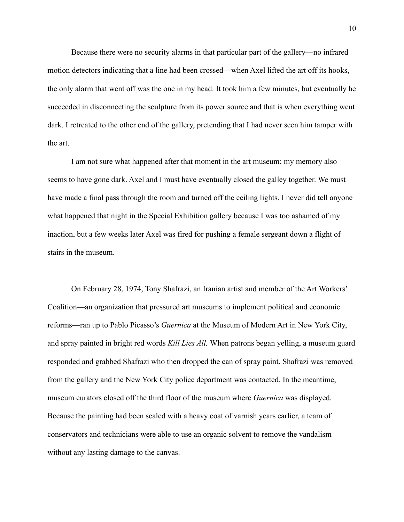Because there were no security alarms in that particular part of the gallery—no infrared motion detectors indicating that a line had been crossed—when Axel lifted the art off its hooks, the only alarm that went off was the one in my head. It took him a few minutes, but eventually he succeeded in disconnecting the sculpture from its power source and that is when everything went dark. I retreated to the other end of the gallery, pretending that I had never seen him tamper with the art.

I am not sure what happened after that moment in the art museum; my memory also seems to have gone dark. Axel and I must have eventually closed the galley together. We must have made a final pass through the room and turned off the ceiling lights. I never did tell anyone what happened that night in the Special Exhibition gallery because I was too ashamed of my inaction, but a few weeks later Axel was fired for pushing a female sergeant down a flight of stairs in the museum.

On February 28, 1974, Tony Shafrazi, an Iranian artist and member of the Art Workers' Coalition—an organization that pressured art museums to implement political and economic reforms—ran up to Pablo Picasso's *Guernica* at the Museum of Modern Art in New York City, and spray painted in bright red words *Kill Lies All.* When patrons began yelling, a museum guard responded and grabbed Shafrazi who then dropped the can of spray paint. Shafrazi was removed from the gallery and the New York City police department was contacted. In the meantime, museum curators closed off the third floor of the museum where *Guernica* was displayed. Because the painting had been sealed with a heavy coat of varnish years earlier, a team of conservators and technicians were able to use an organic solvent to remove the vandalism without any lasting damage to the canvas.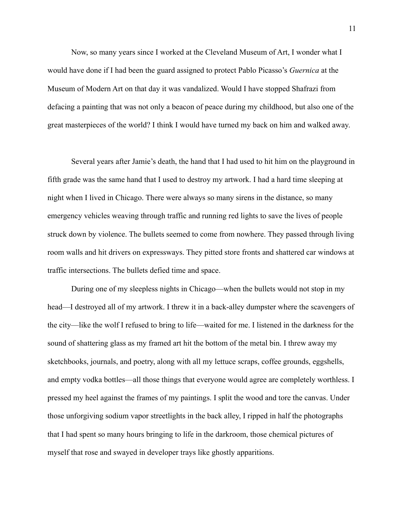Now, so many years since I worked at the Cleveland Museum of Art, I wonder what I would have done if I had been the guard assigned to protect Pablo Picasso's *Guernica* at the Museum of Modern Art on that day it was vandalized. Would I have stopped Shafrazi from defacing a painting that was not only a beacon of peace during my childhood, but also one of the great masterpieces of the world? I think I would have turned my back on him and walked away.

Several years after Jamie's death, the hand that I had used to hit him on the playground in fifth grade was the same hand that I used to destroy my artwork. I had a hard time sleeping at night when I lived in Chicago. There were always so many sirens in the distance, so many emergency vehicles weaving through traffic and running red lights to save the lives of people struck down by violence. The bullets seemed to come from nowhere. They passed through living room walls and hit drivers on expressways. They pitted store fronts and shattered car windows at traffic intersections. The bullets defied time and space.

During one of my sleepless nights in Chicago—when the bullets would not stop in my head—I destroyed all of my artwork. I threw it in a back-alley dumpster where the scavengers of the city—like the wolf I refused to bring to life—waited for me. I listened in the darkness for the sound of shattering glass as my framed art hit the bottom of the metal bin. I threw away my sketchbooks, journals, and poetry, along with all my lettuce scraps, coffee grounds, eggshells, and empty vodka bottles—all those things that everyone would agree are completely worthless. I pressed my heel against the frames of my paintings. I split the wood and tore the canvas. Under those unforgiving sodium vapor streetlights in the back alley, I ripped in half the photographs that I had spent so many hours bringing to life in the darkroom, those chemical pictures of myself that rose and swayed in developer trays like ghostly apparitions.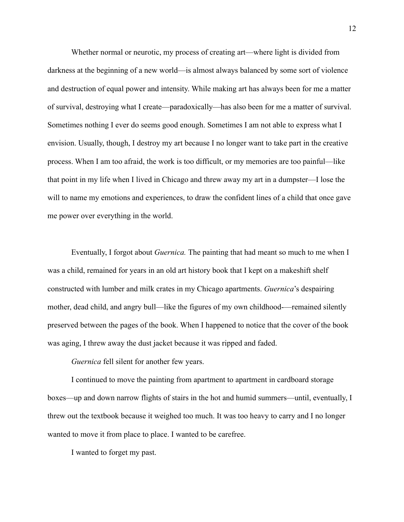Whether normal or neurotic, my process of creating art—where light is divided from darkness at the beginning of a new world—is almost always balanced by some sort of violence and destruction of equal power and intensity. While making art has always been for me a matter of survival, destroying what I create—paradoxically—has also been for me a matter of survival. Sometimes nothing I ever do seems good enough. Sometimes I am not able to express what I envision. Usually, though, I destroy my art because I no longer want to take part in the creative process. When I am too afraid, the work is too difficult, or my memories are too painful—like that point in my life when I lived in Chicago and threw away my art in a dumpster—I lose the will to name my emotions and experiences, to draw the confident lines of a child that once gave me power over everything in the world.

Eventually, I forgot about *Guernica.* The painting that had meant so much to me when I was a child, remained for years in an old art history book that I kept on a makeshift shelf constructed with lumber and milk crates in my Chicago apartments. *Guernica*'s despairing mother, dead child, and angry bull—like the figures of my own childhood—remained silently preserved between the pages of the book. When I happened to notice that the cover of the book was aging, I threw away the dust jacket because it was ripped and faded.

*Guernica* fell silent for another few years.

I continued to move the painting from apartment to apartment in cardboard storage boxes—up and down narrow flights of stairs in the hot and humid summers—until, eventually, I threw out the textbook because it weighed too much. It was too heavy to carry and I no longer wanted to move it from place to place. I wanted to be carefree.

I wanted to forget my past.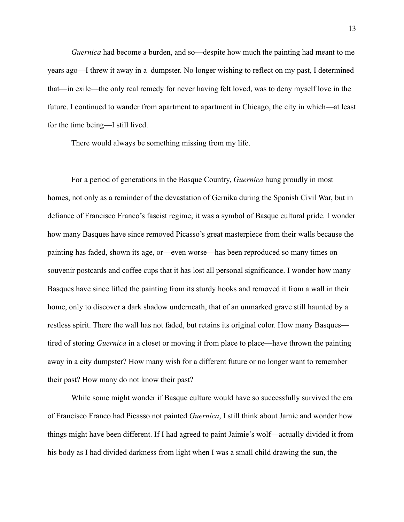*Guernica* had become a burden, and so—despite how much the painting had meant to me years ago—I threw it away in a dumpster. No longer wishing to reflect on my past, I determined that—in exile—the only real remedy for never having felt loved, was to deny myself love in the future. I continued to wander from apartment to apartment in Chicago, the city in which—at least for the time being—I still lived.

There would always be something missing from my life.

For a period of generations in the Basque Country, *Guernica* hung proudly in most homes, not only as a reminder of the devastation of Gernika during the Spanish Civil War, but in defiance of Francisco Franco's fascist regime; it was a symbol of Basque cultural pride. I wonder how many Basques have since removed Picasso's great masterpiece from their walls because the painting has faded, shown its age, or—even worse—has been reproduced so many times on souvenir postcards and coffee cups that it has lost all personal significance. I wonder how many Basques have since lifted the painting from its sturdy hooks and removed it from a wall in their home, only to discover a dark shadow underneath, that of an unmarked grave still haunted by a restless spirit. There the wall has not faded, but retains its original color. How many Basques tired of storing *Guernica* in a closet or moving it from place to place—have thrown the painting away in a city dumpster? How many wish for a different future or no longer want to remember their past? How many do not know their past?

While some might wonder if Basque culture would have so successfully survived the era of Francisco Franco had Picasso not painted *Guernica*, I still think about Jamie and wonder how things might have been different. If I had agreed to paint Jaimie's wolf—actually divided it from his body as I had divided darkness from light when I was a small child drawing the sun, the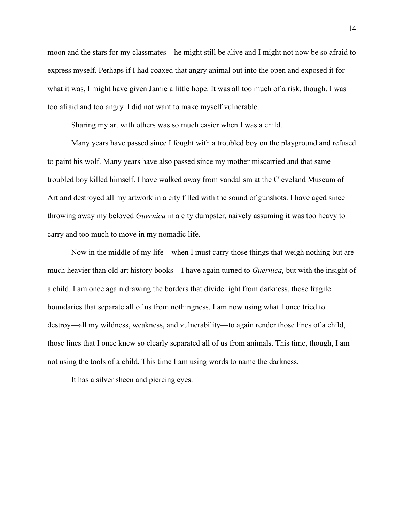moon and the stars for my classmates—he might still be alive and I might not now be so afraid to express myself. Perhaps if I had coaxed that angry animal out into the open and exposed it for what it was, I might have given Jamie a little hope. It was all too much of a risk, though. I was too afraid and too angry. I did not want to make myself vulnerable.

Sharing my art with others was so much easier when I was a child.

Many years have passed since I fought with a troubled boy on the playground and refused to paint his wolf. Many years have also passed since my mother miscarried and that same troubled boy killed himself. I have walked away from vandalism at the Cleveland Museum of Art and destroyed all my artwork in a city filled with the sound of gunshots. I have aged since throwing away my beloved *Guernica* in a city dumpster, naively assuming it was too heavy to carry and too much to move in my nomadic life.

Now in the middle of my life—when I must carry those things that weigh nothing but are much heavier than old art history books—I have again turned to *Guernica,* but with the insight of a child. I am once again drawing the borders that divide light from darkness, those fragile boundaries that separate all of us from nothingness. I am now using what I once tried to destroy—all my wildness, weakness, and vulnerability—to again render those lines of a child, those lines that I once knew so clearly separated all of us from animals. This time, though, I am not using the tools of a child. This time I am using words to name the darkness.

It has a silver sheen and piercing eyes.